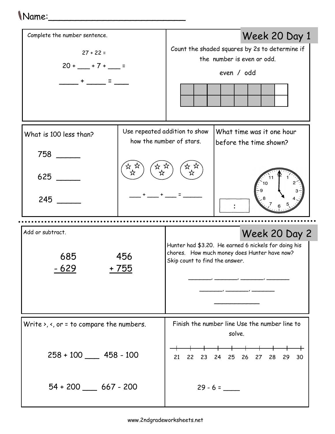## Name:\_\_\_\_\_\_\_\_\_\_\_\_\_\_\_\_\_\_\_\_\_\_\_\_\_

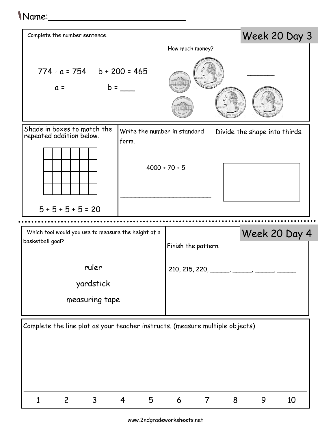## Name:\_\_\_\_\_\_\_\_\_\_\_\_\_\_\_\_\_\_\_\_\_\_\_\_\_



www.2ndgradeworksheets.net